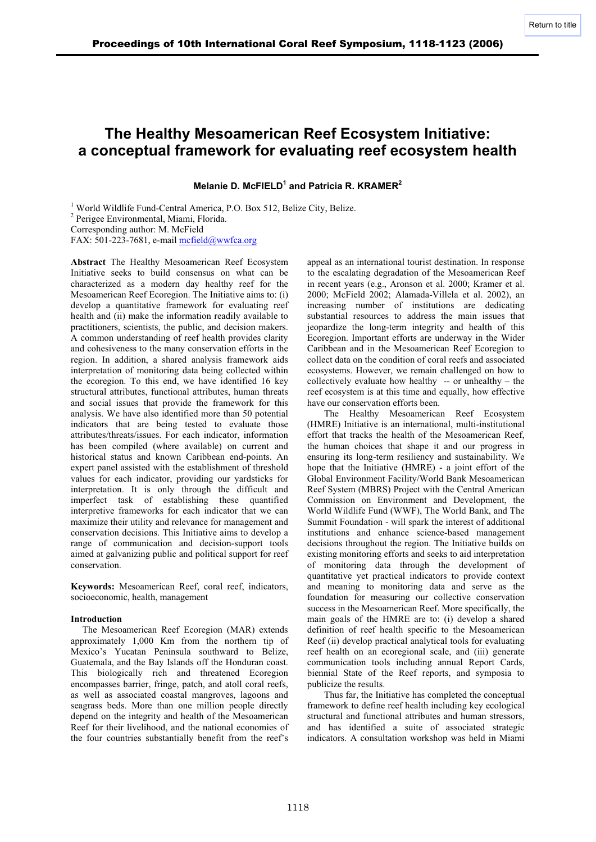# **The Healthy Mesoamerican Reef Ecosystem Initiative: a conceptual framework for evaluating reef ecosystem health**

# Melanie D. McFIELD<sup>1</sup> and Patricia R. KRAMER<sup>2</sup>

<sup>1</sup> World Wildlife Fund-Central America, P.O. Box 512, Belize City, Belize.

<sup>2</sup> Perigee Environmental, Miami, Florida.

Corresponding author: M. McField

FAX: 501-223-7681, e-mail mcfield@wwfca.org

**Abstract** The Healthy Mesoamerican Reef Ecosystem Initiative seeks to build consensus on what can be characterized as a modern day healthy reef for the Mesoamerican Reef Ecoregion. The Initiative aims to: (i) develop a quantitative framework for evaluating reef health and (ii) make the information readily available to practitioners, scientists, the public, and decision makers. A common understanding of reef health provides clarity and cohesiveness to the many conservation efforts in the region. In addition, a shared analysis framework aids interpretation of monitoring data being collected within the ecoregion. To this end, we have identified 16 key structural attributes, functional attributes, human threats and social issues that provide the framework for this analysis. We have also identified more than 50 potential indicators that are being tested to evaluate those attributes/threats/issues. For each indicator, information has been compiled (where available) on current and historical status and known Caribbean end-points. An expert panel assisted with the establishment of threshold values for each indicator, providing our yardsticks for interpretation. It is only through the difficult and imperfect task of establishing these quantified interpretive frameworks for each indicator that we can maximize their utility and relevance for management and conservation decisions. This Initiative aims to develop a range of communication and decision-support tools aimed at galvanizing public and political support for reef conservation.

**Keywords:** Mesoamerican Reef, coral reef, indicators, socioeconomic, health, management

#### **Introduction**

 The Mesoamerican Reef Ecoregion (MAR) extends approximately 1,000 Km from the northern tip of Mexico's Yucatan Peninsula southward to Belize, Guatemala, and the Bay Islands off the Honduran coast. This biologically rich and threatened Ecoregion encompasses barrier, fringe, patch, and atoll coral reefs, as well as associated coastal mangroves, lagoons and seagrass beds. More than one million people directly depend on the integrity and health of the Mesoamerican Reef for their livelihood, and the national economies of the four countries substantially benefit from the reef's

appeal as an international tourist destination. In response to the escalating degradation of the Mesoamerican Reef in recent years (e.g., Aronson et al. 2000; Kramer et al. 2000; McField 2002; Alamada-Villela et al. 2002), an increasing number of institutions are dedicating substantial resources to address the main issues that jeopardize the long-term integrity and health of this Ecoregion. Important efforts are underway in the Wider Caribbean and in the Mesoamerican Reef Ecoregion to collect data on the condition of coral reefs and associated ecosystems. However, we remain challenged on how to collectively evaluate how healthy  $-$  or unhealthy  $-$  the reef ecosystem is at this time and equally, how effective have our conservation efforts been.

The Healthy Mesoamerican Reef Ecosystem (HMRE) Initiative is an international, multi-institutional effort that tracks the health of the Mesoamerican Reef, the human choices that shape it and our progress in ensuring its long-term resiliency and sustainability. We hope that the Initiative (HMRE) - a joint effort of the Global Environment Facility/World Bank Mesoamerican Reef System (MBRS) Project with the Central American Commission on Environment and Development, the World Wildlife Fund (WWF), The World Bank, and The Summit Foundation - will spark the interest of additional institutions and enhance science-based management decisions throughout the region. The Initiative builds on existing monitoring efforts and seeks to aid interpretation of monitoring data through the development of quantitative yet practical indicators to provide context and meaning to monitoring data and serve as the foundation for measuring our collective conservation success in the Mesoamerican Reef. More specifically, the main goals of the HMRE are to: (i) develop a shared definition of reef health specific to the Mesoamerican Reef (ii) develop practical analytical tools for evaluating reef health on an ecoregional scale, and (iii) generate communication tools including annual Report Cards, biennial State of the Reef reports, and symposia to publicize the results.

Thus far, the Initiative has completed the conceptual framework to define reef health including key ecological structural and functional attributes and human stressors, and has identified a suite of associated strategic indicators. A consultation workshop was held in Miami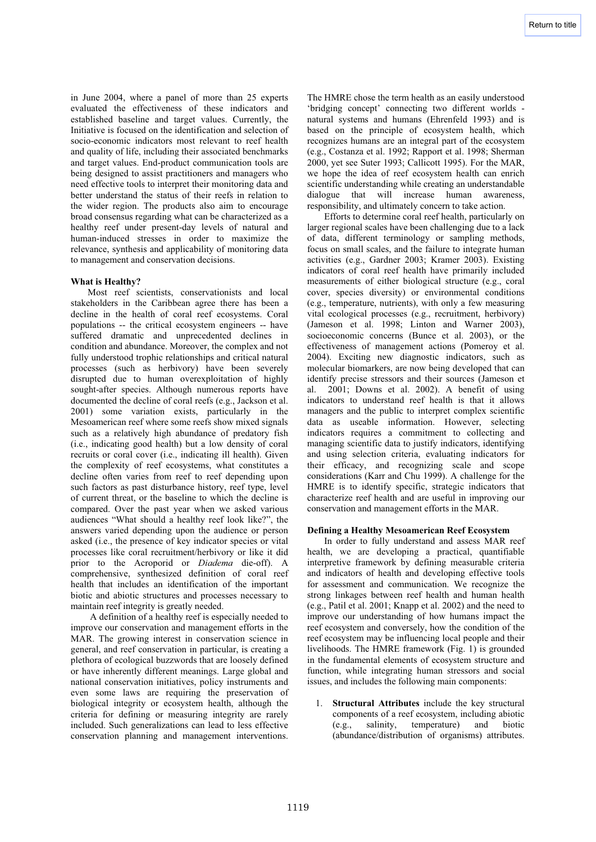in June 2004, where a panel of more than 25 experts evaluated the effectiveness of these indicators and established baseline and target values. Currently, the Initiative is focused on the identification and selection of socio-economic indicators most relevant to reef health and quality of life, including their associated benchmarks and target values. End-product communication tools are being designed to assist practitioners and managers who need effective tools to interpret their monitoring data and better understand the status of their reefs in relation to the wider region. The products also aim to encourage broad consensus regarding what can be characterized as a healthy reef under present-day levels of natural and human-induced stresses in order to maximize the relevance, synthesis and applicability of monitoring data to management and conservation decisions.

#### **What is Healthy?**

Most reef scientists, conservationists and local stakeholders in the Caribbean agree there has been a decline in the health of coral reef ecosystems. Coral populations -- the critical ecosystem engineers -- have suffered dramatic and unprecedented declines in condition and abundance. Moreover, the complex and not fully understood trophic relationships and critical natural processes (such as herbivory) have been severely disrupted due to human overexploitation of highly sought-after species. Although numerous reports have documented the decline of coral reefs (e.g., Jackson et al. 2001) some variation exists, particularly in the Mesoamerican reef where some reefs show mixed signals such as a relatively high abundance of predatory fish (i.e., indicating good health) but a low density of coral recruits or coral cover (i.e., indicating ill health). Given the complexity of reef ecosystems, what constitutes a decline often varies from reef to reef depending upon such factors as past disturbance history, reef type, level of current threat, or the baseline to which the decline is compared. Over the past year when we asked various audiences "What should a healthy reef look like?", the answers varied depending upon the audience or person asked (i.e., the presence of key indicator species or vital processes like coral recruitment/herbivory or like it did prior to the Acroporid or *Diadema* die-off). A comprehensive, synthesized definition of coral reef health that includes an identification of the important biotic and abiotic structures and processes necessary to maintain reef integrity is greatly needed.

 A definition of a healthy reef is especially needed to improve our conservation and management efforts in the MAR. The growing interest in conservation science in general, and reef conservation in particular, is creating a plethora of ecological buzzwords that are loosely defined or have inherently different meanings. Large global and national conservation initiatives, policy instruments and even some laws are requiring the preservation of biological integrity or ecosystem health, although the criteria for defining or measuring integrity are rarely included. Such generalizations can lead to less effective conservation planning and management interventions.

The HMRE chose the term health as an easily understood 'bridging concept' connecting two different worlds natural systems and humans (Ehrenfeld 1993) and is based on the principle of ecosystem health, which recognizes humans are an integral part of the ecosystem (e.g., Costanza et al. 1992; Rapport et al. 1998; Sherman 2000, yet see Suter 1993; Callicott 1995). For the MAR, we hope the idea of reef ecosystem health can enrich scientific understanding while creating an understandable dialogue that will increase human awareness, responsibility, and ultimately concern to take action.

Efforts to determine coral reef health, particularly on larger regional scales have been challenging due to a lack of data, different terminology or sampling methods, focus on small scales, and the failure to integrate human activities (e.g., Gardner 2003; Kramer 2003). Existing indicators of coral reef health have primarily included measurements of either biological structure (e.g., coral cover, species diversity) or environmental conditions (e.g., temperature, nutrients), with only a few measuring vital ecological processes (e.g., recruitment, herbivory) (Jameson et al. 1998; Linton and Warner 2003), socioeconomic concerns (Bunce et al. 2003), or the effectiveness of management actions (Pomeroy et al. 2004). Exciting new diagnostic indicators, such as molecular biomarkers, are now being developed that can identify precise stressors and their sources (Jameson et al. 2001; Downs et al. 2002). A benefit of using indicators to understand reef health is that it allows managers and the public to interpret complex scientific data as useable information. However, selecting indicators requires a commitment to collecting and managing scientific data to justify indicators, identifying and using selection criteria, evaluating indicators for their efficacy, and recognizing scale and scope considerations (Karr and Chu 1999). A challenge for the HMRE is to identify specific, strategic indicators that characterize reef health and are useful in improving our conservation and management efforts in the MAR.

#### **Defining a Healthy Mesoamerican Reef Ecosystem**

In order to fully understand and assess MAR reef health, we are developing a practical, quantifiable interpretive framework by defining measurable criteria and indicators of health and developing effective tools for assessment and communication. We recognize the strong linkages between reef health and human health (e.g., Patil et al. 2001; Knapp et al. 2002) and the need to improve our understanding of how humans impact the reef ecosystem and conversely, how the condition of the reef ecosystem may be influencing local people and their livelihoods. The HMRE framework (Fig. 1) is grounded in the fundamental elements of ecosystem structure and function, while integrating human stressors and social issues, and includes the following main components:

1. **Structural Attributes** include the key structural components of a reef ecosystem, including abiotic (e.g., salinity, temperature) and biotic (abundance/distribution of organisms) attributes.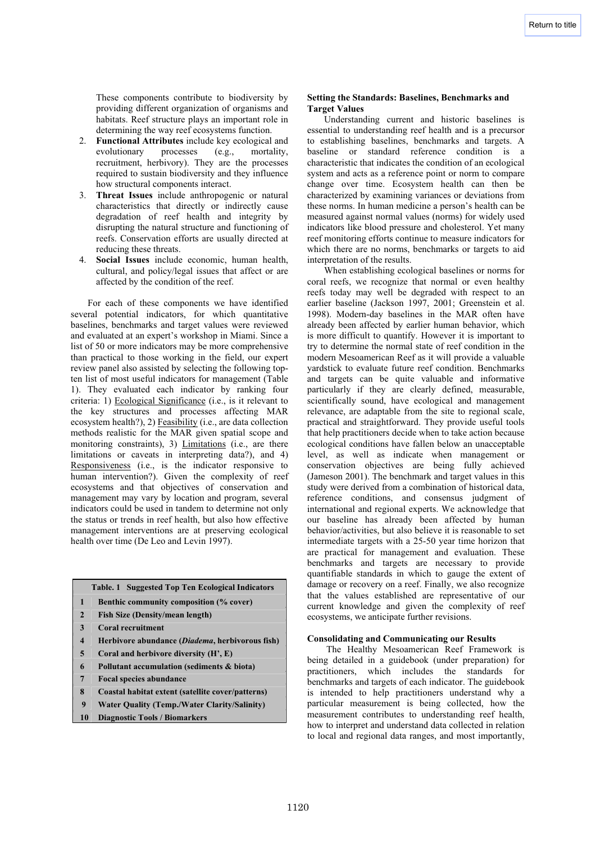These components contribute to biodiversity by providing different organization of organisms and habitats. Reef structure plays an important role in determining the way reef ecosystems function.

- 2. **Functional Attributes** include key ecological and evolutionary processes (e.g., mortality, recruitment, herbivory). They are the processes required to sustain biodiversity and they influence how structural components interact.
- 3. **Threat Issues** include anthropogenic or natural characteristics that directly or indirectly cause degradation of reef health and integrity by disrupting the natural structure and functioning of reefs. Conservation efforts are usually directed at reducing these threats.
- 4. **Social Issues** include economic, human health, cultural, and policy/legal issues that affect or are affected by the condition of the reef.

For each of these components we have identified several potential indicators, for which quantitative baselines, benchmarks and target values were reviewed and evaluated at an expert's workshop in Miami. Since a list of 50 or more indicators may be more comprehensive than practical to those working in the field, our expert review panel also assisted by selecting the following topten list of most useful indicators for management (Table 1). They evaluated each indicator by ranking four criteria: 1) Ecological Significance (i.e., is it relevant to the key structures and processes affecting MAR ecosystem health?), 2) Feasibility (i.e., are data collection methods realistic for the MAR given spatial scope and monitoring constraints), 3) Limitations (i.e., are there limitations or caveats in interpreting data?), and 4) Responsiveness (i.e., is the indicator responsive to human intervention?). Given the complexity of reef ecosystems and that objectives of conservation and management may vary by location and program, several indicators could be used in tandem to determine not only the status or trends in reef health, but also how effective management interventions are at preserving ecological health over time (De Leo and Levin 1997).

|              | Table. 1 Suggested Top Ten Ecological Indicators         |
|--------------|----------------------------------------------------------|
| 1            | Benthic community composition (% cover)                  |
| $\mathbf{2}$ | <b>Fish Size (Density/mean length)</b>                   |
| 3            | Coral recruitment                                        |
| 4            | Herbivore abundance ( <i>Diadema</i> , herbivorous fish) |
| 5            | Coral and herbivore diversity (H', E)                    |
| 6            | Pollutant accumulation (sediments & biota)               |
| 7            | Focal species abundance                                  |
| 8            | Coastal habitat extent (satellite cover/patterns)        |
| 9            | Water Quality (Temp./Water Clarity/Salinity)             |
| 10           | <b>Diagnostic Tools / Biomarkers</b>                     |
|              |                                                          |

# **Setting the Standards: Baselines, Benchmarks and Target Values**

Understanding current and historic baselines is essential to understanding reef health and is a precursor to establishing baselines, benchmarks and targets. A baseline or standard reference condition is a characteristic that indicates the condition of an ecological system and acts as a reference point or norm to compare change over time. Ecosystem health can then be characterized by examining variances or deviations from these norms. In human medicine a person's health can be measured against normal values (norms) for widely used indicators like blood pressure and cholesterol. Yet many reef monitoring efforts continue to measure indicators for which there are no norms, benchmarks or targets to aid interpretation of the results.

When establishing ecological baselines or norms for coral reefs, we recognize that normal or even healthy reefs today may well be degraded with respect to an earlier baseline (Jackson 1997, 2001; Greenstein et al. 1998). Modern-day baselines in the MAR often have already been affected by earlier human behavior, which is more difficult to quantify. However it is important to try to determine the normal state of reef condition in the modern Mesoamerican Reef as it will provide a valuable yardstick to evaluate future reef condition. Benchmarks and targets can be quite valuable and informative particularly if they are clearly defined, measurable, scientifically sound, have ecological and management relevance, are adaptable from the site to regional scale, practical and straightforward. They provide useful tools that help practitioners decide when to take action because ecological conditions have fallen below an unacceptable level, as well as indicate when management or conservation objectives are being fully achieved (Jameson 2001). The benchmark and target values in this study were derived from a combination of historical data, reference conditions, and consensus judgment of international and regional experts. We acknowledge that our baseline has already been affected by human behavior/activities, but also believe it is reasonable to set intermediate targets with a 25-50 year time horizon that are practical for management and evaluation. These benchmarks and targets are necessary to provide quantifiable standards in which to gauge the extent of damage or recovery on a reef. Finally, we also recognize that the values established are representative of our current knowledge and given the complexity of reef ecosystems, we anticipate further revisions.

# **Consolidating and Communicating our Results**

 The Healthy Mesoamerican Reef Framework is being detailed in a guidebook (under preparation) for practitioners, which includes the standards for benchmarks and targets of each indicator. The guidebook is intended to help practitioners understand why a particular measurement is being collected, how the measurement contributes to understanding reef health, how to interpret and understand data collected in relation to local and regional data ranges, and most importantly,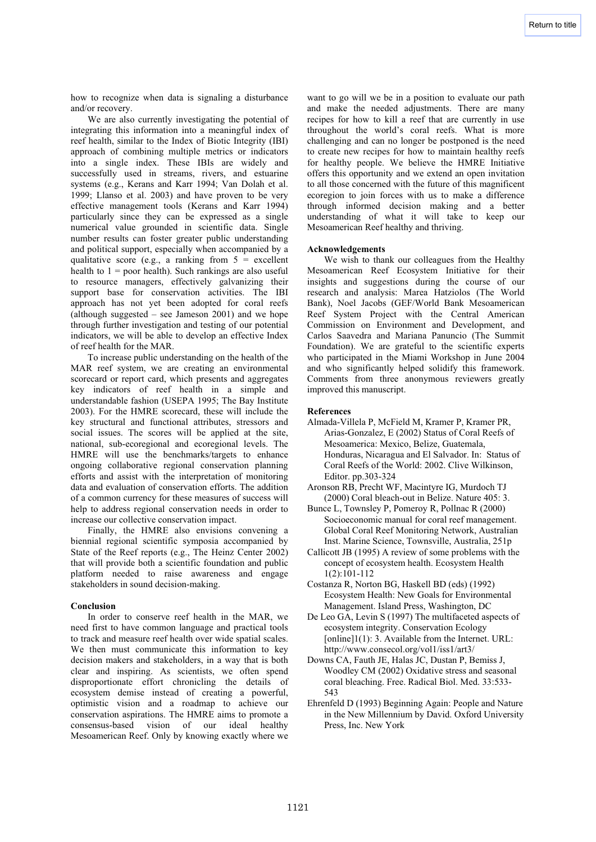how to recognize when data is signaling a disturbance and/or recovery.

We are also currently investigating the potential of integrating this information into a meaningful index of reef health, similar to the Index of Biotic Integrity (IBI) approach of combining multiple metrics or indicators into a single index. These IBIs are widely and successfully used in streams, rivers, and estuarine systems (e.g., Kerans and Karr 1994; Van Dolah et al. 1999; Llanso et al. 2003) and have proven to be very effective management tools (Kerans and Karr 1994) particularly since they can be expressed as a single numerical value grounded in scientific data. Single number results can foster greater public understanding and political support, especially when accompanied by a qualitative score (e.g., a ranking from  $5 =$  excellent health to  $1 =$  poor health). Such rankings are also useful to resource managers, effectively galvanizing their support base for conservation activities. The IBI approach has not yet been adopted for coral reefs (although suggested – see Jameson 2001) and we hope through further investigation and testing of our potential indicators, we will be able to develop an effective Index of reef health for the MAR.

To increase public understanding on the health of the MAR reef system, we are creating an environmental scorecard or report card, which presents and aggregates key indicators of reef health in a simple and understandable fashion (USEPA 1995; The Bay Institute 2003). For the HMRE scorecard, these will include the key structural and functional attributes, stressors and social issues. The scores will be applied at the site, national, sub-ecoregional and ecoregional levels. The HMRE will use the benchmarks/targets to enhance ongoing collaborative regional conservation planning efforts and assist with the interpretation of monitoring data and evaluation of conservation efforts. The addition of a common currency for these measures of success will help to address regional conservation needs in order to increase our collective conservation impact.

Finally, the HMRE also envisions convening a biennial regional scientific symposia accompanied by State of the Reef reports (e.g., The Heinz Center 2002) that will provide both a scientific foundation and public platform needed to raise awareness and engage stakeholders in sound decision-making.

## **Conclusion**

In order to conserve reef health in the MAR, we need first to have common language and practical tools to track and measure reef health over wide spatial scales. We then must communicate this information to key decision makers and stakeholders, in a way that is both clear and inspiring. As scientists, we often spend disproportionate effort chronicling the details of ecosystem demise instead of creating a powerful, optimistic vision and a roadmap to achieve our conservation aspirations. The HMRE aims to promote a consensus-based vision of our ideal healthy Mesoamerican Reef. Only by knowing exactly where we

want to go will we be in a position to evaluate our path and make the needed adjustments. There are many recipes for how to kill a reef that are currently in use throughout the world's coral reefs. What is more challenging and can no longer be postponed is the need to create new recipes for how to maintain healthy reefs for healthy people. We believe the HMRE Initiative offers this opportunity and we extend an open invitation to all those concerned with the future of this magnificent ecoregion to join forces with us to make a difference through informed decision making and a better understanding of what it will take to keep our Mesoamerican Reef healthy and thriving.

## **Acknowledgements**

We wish to thank our colleagues from the Healthy Mesoamerican Reef Ecosystem Initiative for their insights and suggestions during the course of our research and analysis: Marea Hatziolos (The World Bank), Noel Jacobs (GEF/World Bank Mesoamerican Reef System Project with the Central American Commission on Environment and Development, and Carlos Saavedra and Mariana Panuncio (The Summit Foundation). We are grateful to the scientific experts who participated in the Miami Workshop in June 2004 and who significantly helped solidify this framework. Comments from three anonymous reviewers greatly improved this manuscript.

#### **References**

- Almada-Villela P, McField M, Kramer P, Kramer PR, Arias-Gonzalez, E (2002) Status of Coral Reefs of Mesoamerica: Mexico, Belize, Guatemala, Honduras, Nicaragua and El Salvador. In: Status of Coral Reefs of the World: 2002. Clive Wilkinson, Editor. pp.303-324
- Aronson RB, Precht WF, Macintyre IG, Murdoch TJ (2000) Coral bleach-out in Belize. Nature 405: 3.
- Bunce L, Townsley P, Pomeroy R, Pollnac R (2000) Socioeconomic manual for coral reef management. Global Coral Reef Monitoring Network, Australian Inst. Marine Science, Townsville, Australia, 251p
- Callicott JB (1995) A review of some problems with the concept of ecosystem health. Ecosystem Health 1(2):101-112
- Costanza R, Norton BG, Haskell BD (eds) (1992) Ecosystem Health: New Goals for Environmental Management. Island Press, Washington, DC
- De Leo GA, Levin S (1997) The multifaceted aspects of ecosystem integrity. Conservation Ecology [online]1(1): 3. Available from the Internet. URL: http://www.consecol.org/vol1/iss1/art3/
- Downs CA, Fauth JE, Halas JC, Dustan P, Bemiss J, Woodley CM (2002) Oxidative stress and seasonal coral bleaching. Free. Radical Biol. Med. 33:533- 543
- Ehrenfeld D (1993) Beginning Again: People and Nature in the New Millennium by David. Oxford University Press, Inc. New York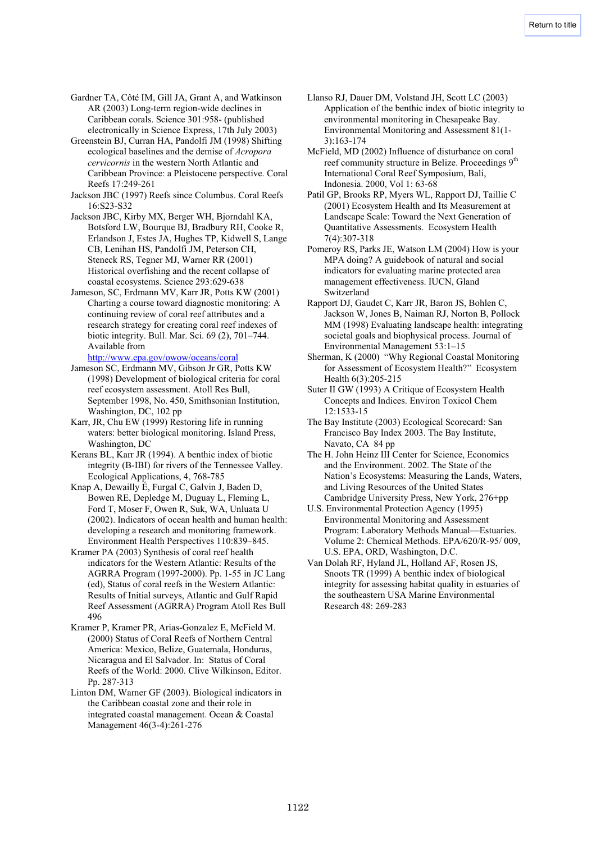Gardner TA, Côté IM, Gill JA, Grant A, and Watkinson AR (2003) Long-term region-wide declines in Caribbean corals. Science 301:958- (published electronically in Science Express, 17th July 2003)

Greenstein BJ, Curran HA, Pandolfi JM (1998) Shifting ecological baselines and the demise of *Acropora cervicornis* in the western North Atlantic and Caribbean Province: a Pleistocene perspective. Coral Reefs 17:249-261

Jackson JBC (1997) Reefs since Columbus. Coral Reefs 16:S23-S32

Jackson JBC, Kirby MX, Berger WH, Bjorndahl KA, Botsford LW, Bourque BJ, Bradbury RH, Cooke R, Erlandson J, Estes JA, Hughes TP, Kidwell S, Lange CB, Lenihan HS, Pandolfi JM, Peterson CH, Steneck RS, Tegner MJ, Warner RR (2001) Historical overfishing and the recent collapse of coastal ecosystems. Science 293:629-638

Jameson, SC, Erdmann MV, Karr JR, Potts KW (2001) Charting a course toward diagnostic monitoring: A continuing review of coral reef attributes and a research strategy for creating coral reef indexes of biotic integrity. Bull. Mar. Sci. 69 (2), 701–744. Available from

http://www.epa.gov/owow/oceans/coral

Jameson SC, Erdmann MV, Gibson Jr GR, Potts KW (1998) Development of biological criteria for coral reef ecosystem assessment. Atoll Res Bull, September 1998, No. 450, Smithsonian Institution, Washington, DC, 102 pp

Karr, JR, Chu EW (1999) Restoring life in running waters: better biological monitoring. Island Press, Washington, DC

Kerans BL, Karr JR (1994). A benthic index of biotic integrity (B-IBI) for rivers of the Tennessee Valley. Ecological Applications, 4, 768-785

Knap A, Dewailly É, Furgal C, Galvin J, Baden D, Bowen RE, Depledge M, Duguay L, Fleming L, Ford T, Moser F, Owen R, Suk, WA, Unluata U (2002). Indicators of ocean health and human health: developing a research and monitoring framework. Environment Health Perspectives 110:839–845.

Kramer PA (2003) Synthesis of coral reef health indicators for the Western Atlantic: Results of the AGRRA Program (1997-2000). Pp. 1-55 in JC Lang (ed), Status of coral reefs in the Western Atlantic: Results of Initial surveys, Atlantic and Gulf Rapid Reef Assessment (AGRRA) Program Atoll Res Bull 496

Kramer P, Kramer PR, Arias-Gonzalez E, McField M. (2000) Status of Coral Reefs of Northern Central America: Mexico, Belize, Guatemala, Honduras, Nicaragua and El Salvador. In: Status of Coral Reefs of the World: 2000. Clive Wilkinson, Editor. Pp. 287-313

Linton DM, Warner GF (2003). Biological indicators in the Caribbean coastal zone and their role in integrated coastal management. Ocean & Coastal Management 46(3-4):261-276

Llanso RJ, Dauer DM, Volstand JH, Scott LC (2003) Application of the benthic index of biotic integrity to environmental monitoring in Chesapeake Bay. Environmental Monitoring and Assessment 81(1- 3):163-174

McField, MD (2002) Influence of disturbance on coral reef community structure in Belize. Proceedings 9<sup>th</sup> International Coral Reef Symposium, Bali, Indonesia. 2000, Vol 1: 63-68

Patil GP, Brooks RP, Myers WL, Rapport DJ, Taillie C (2001) Ecosystem Health and Its Measurement at Landscape Scale: Toward the Next Generation of Quantitative Assessments. Ecosystem Health 7(4):307-318

Pomeroy RS, Parks JE, Watson LM (2004) How is your MPA doing? A guidebook of natural and social indicators for evaluating marine protected area management effectiveness. IUCN, Gland Switzerland

Rapport DJ, Gaudet C, Karr JR, Baron JS, Bohlen C, Jackson W, Jones B, Naiman RJ, Norton B, Pollock MM (1998) Evaluating landscape health: integrating societal goals and biophysical process. Journal of Environmental Management 53:1–15

Sherman, K (2000) "Why Regional Coastal Monitoring for Assessment of Ecosystem Health?" Ecosystem Health 6(3):205-215

Suter II GW (1993) A Critique of Ecosystem Health Concepts and Indices. Environ Toxicol Chem 12:1533-15

The Bay Institute (2003) Ecological Scorecard: San Francisco Bay Index 2003. The Bay Institute, Navato, CA 84 pp

The H. John Heinz III Center for Science, Economics and the Environment. 2002. The State of the Nation's Ecosystems: Measuring the Lands, Waters, and Living Resources of the United States Cambridge University Press, New York, 276+pp

U.S. Environmental Protection Agency (1995) Environmental Monitoring and Assessment Program: Laboratory Methods Manual—Estuaries. Volume 2: Chemical Methods. EPA/620/R-95/ 009, U.S. EPA, ORD, Washington, D.C.

Van Dolah RF, Hyland JL, Holland AF, Rosen JS, Snoots TR (1999) A benthic index of biological integrity for assessing habitat quality in estuaries of the southeastern USA Marine Environmental Research 48: 269-283